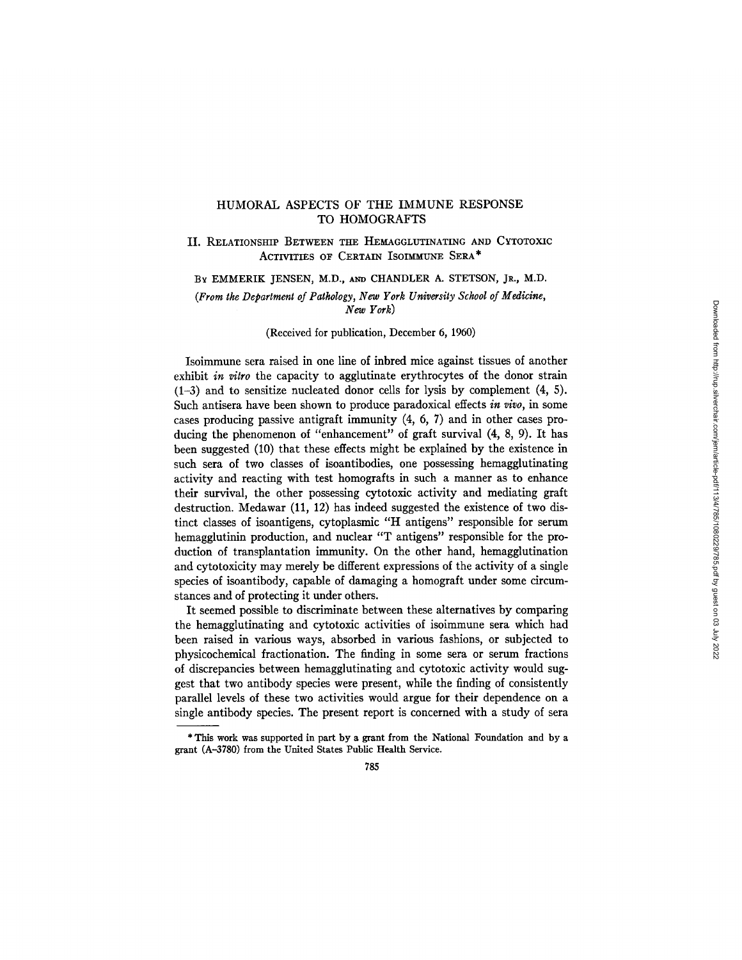# HUMORAL ASPECTS OF THE IMMUNE RESPONSE TO HOMOGRAFTS

II. RELATIONSHIP BETWEEN THE HEMAGGLUTINATING AND CYTOTOXIC ACTIVITIES OF CERTAIN ISOIMMUNE SERA\*

BY EMMERIK JENSEN, M.D., AND CHANDLER A. STETSON, JR., M.D.

*(From the Department of Pathology, New York University School of Medicine, New York)* 

(Received for publication, December 6, 1960)

Isoimmune sera raised in one line of inbred mice against tissues of another exhibit *in vitro* the capacity to agglutinate erythrocytes of the donor strain (1-3) and to sensitize nucleated donor cells for lysis by complement (4, 5). Such antisera have been shown to produce paradoxical effects *in vivo,* in some cases producing passive antigraft immunity (4, 6, 7) and in other cases producing the phenomenon of "enhancement" of graft survival (4, 8, 9). It has been suggested (10) that these effects might be explained by the existence in such sera of two classes of isoantibodies, one possessing hemagglutinating activity and reacting with test homografts in such a manner as to enhance their survival, the other possessing cytotoxic activity and mediating graft destruction. Medawar (11, 12) has indeed suggested the existence of two distinct classes of isoantigens, cytoplasmic *"H* antigens" responsible for serum hemagglutinin production, and nuclear *"T* antigens" responsible for the production of transplantation immunity. On the other hand, hemagglutination and cytotoxicity may merely be different expressions of the activity of a single species of isoantibody, capable of damaging a homograft under some circumstances and of protecting it under others.

It seemed possible to discriminate between these alternatives by comparing the hemagglutinating and cytotoxic activities of isoimmune sera which had been raised in various ways, absorbed in various fashions, or subjected to physicochemical fractionation. The finding in some sera or serum fractions of discrepancies between hemagglutinating and cytotoxic activity would suggest that two antibody species were present, while the finding of consistently parallel levels of these two activities would argue for their dependence on a single antibody species. The present report is concerned with a study of sera

**785** 

<sup>\*</sup> This work was supported in part by a grant from the National Foundation and by a grant (A-3780) from the United States Public Health Service.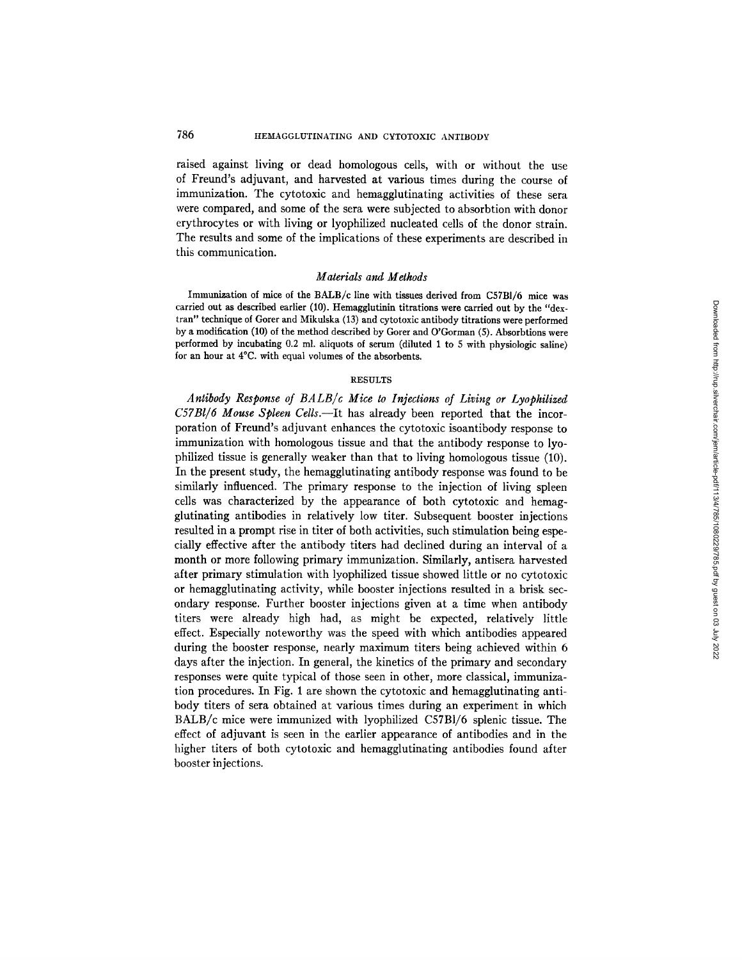raised against living or dead homologous cells, with or without the use of Freund's adjuvant, and harvested at various times during the course of immunization. The cytotoxic and hemagglutinating activities of these sera were compared, and some of the sera were subjected to absorbtion with donor erythrocytes or with living or lyophilized nucleated cells of the donor strain. The results and some of the implications of these experiments are described in this communication.

### *Materials and Methods*

Immunization of mice of the  $BALB/c$  line with tissues derived from  $C57B1/6$  mice was carried out as described earlier (10). Hemaggiutinin titrations were carried out by the "dextran" technique of Gorer and Mikulska (13) and cytotoxic antibody titrations were performed by a modification (10) of the method described by Gorer and O'Gorman (5). Absorbtions were performed by incubating 0.2 ml. aliquots of serum (diluted 1 to 5 with physiologic saline) for an hour at 4°C. with equal volumes of the absorbents.

## **RESULTS**

*Antibody Response of BALB/c Mice to Injections of Living or Lyophilized C57Bl/6 Mouse Spleen Cells.--It* has already been reported that the incorporation of Freund's adjuvant enhances the cytotoxic isoantibody response to immunization with homologous tissue and that the antibody response to lyophilized tissue is generally weaker than that to living homologous tissue (10). In the present study, the hemagglutinating antibody response was found to be similarly influenced. The primary response to the injection of living spleen cells was characterized by the appearance of both cytotoxic and hemagglutinating antibodies in relatively low titer. Subsequent booster injections resulted in a prompt rise in titer of both activities, such stimulation being especially effective after the antibody titers had declined during an interval of a month or more following primary immunization. Similarly, antisera harvested after primary stimulation with lyophilized tissue showed little or no cytotoxic or hemagglutinating activity, while booster injections resulted in a brisk secondary response. Further booster injections given at a time when antibody titers were already high had, as might be expected, relatively little effect. Especially noteworthy was the speed with which antibodies appeared during the booster response, nearly maximum titers being achieved within 6 days after the injection. In general, the kinetics of the primary and secondary responses were quite typical of those seen in other, more classical, immunization procedures. In Fig. 1 are shown the cytotoxic and hemagglutinating antibody titers of sera obtained at various times during an experiment in which BALB/c mice were immunized with lyophilized C57BI/6 splenic tissue. The effect of adjuvant is seen in the earlier appearance of antibodies and in the higher titers of both cytotoxic and hemagglutinating antibodies found after booster injections.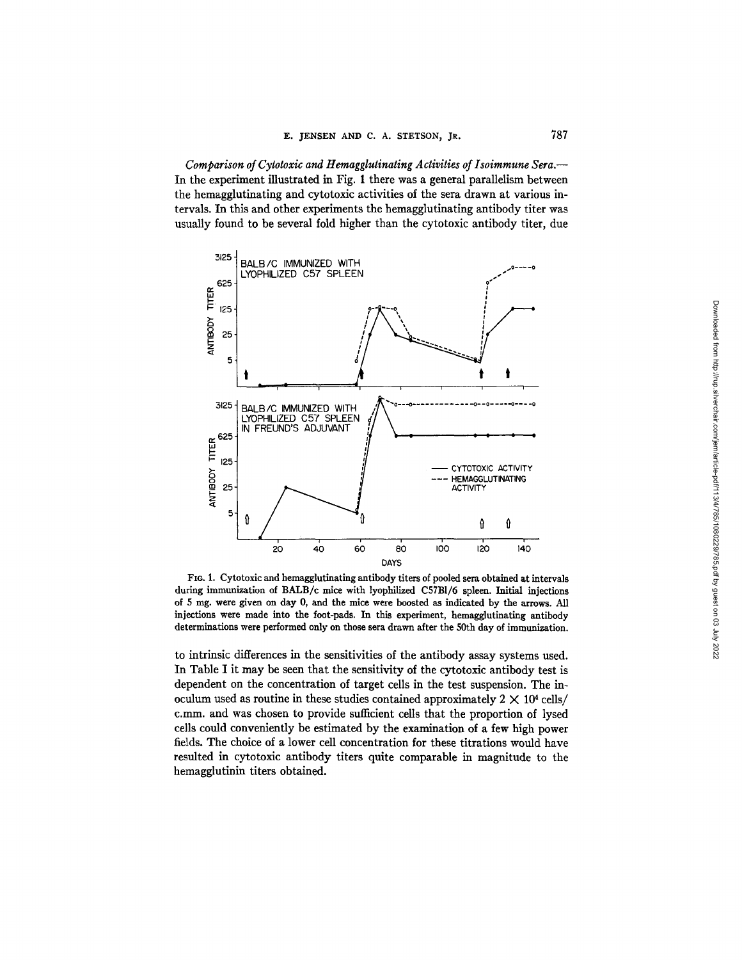*Comparison of Cytotoxi¢ and Hemagglutinating Activities of Isoimmune Sera.--*  In the experiment illustrated in Fig. 1 there was a general parallelism between the hemagglutinating and cytotoxic activities of the sera drawn at various intervals. In this and other experiments the hemagglutinating antibody titer was usually found to be several fold higher than the cytotoxic antibody titer, due



FIO. 1. Cytotoxic and hemagglutinating antibody titers of pooled sere obtained at intervals during immunization of BALB/c mice with lyophilized C57Bl/6 spleen. Initial injections of 5 mg. were given on day 0, and the mice were boosted as indicated by the arrows. All injections were made into the foot-pads. In this experiment, hemagglutinafing antibody determinations were performed only on those sera drawn after the 50th day of immunization.

to intrinsic differences in the sensitivities of the antibody assay systems used. In Table I it may be seen that the sensitivity of the cytotoxic antibody test is dependent on the concentration of target cells in the test suspension. The inoculum used as routine in these studies contained approximately  $2 \times 10^4$  cells/ c.mm. and was chosen to provide sufficient cells that the proportion of lysed cells could conveniently be estimated by the examination of a few high power fields. The choice of a lower cell concentration for these titrations would have resulted in cytotoxic antibody titers quite comparable in magnitude to the hemagglutinin titers obtained.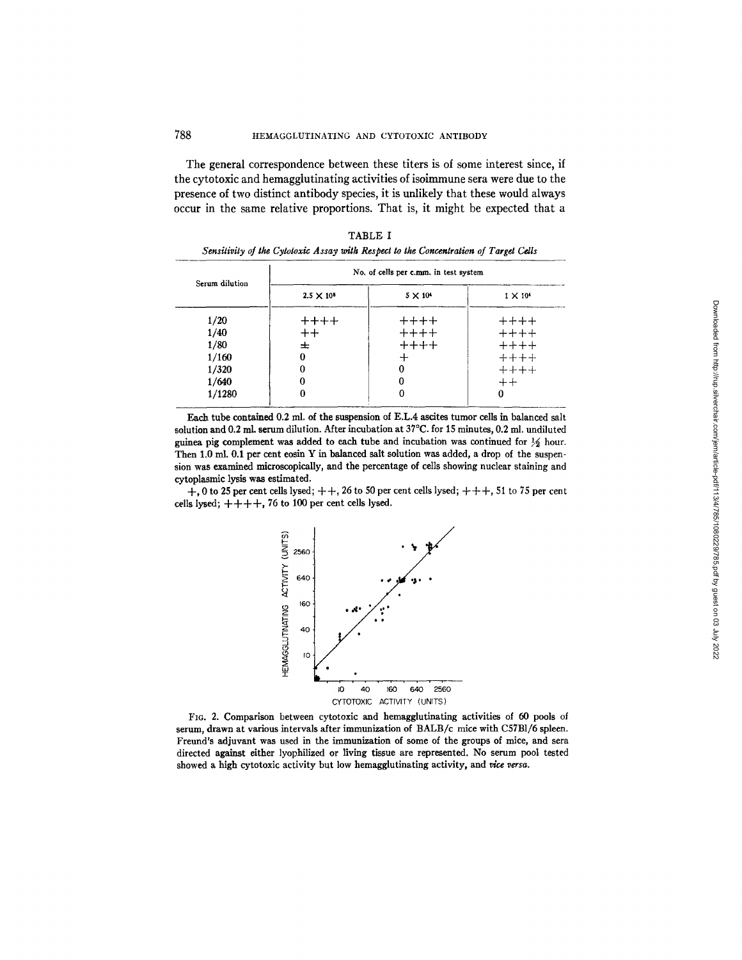The general correspondence between these titers is of some interest since, if the cytotoxic and hemagglutinating activities of isoimmune sera were due to the presence of two distinct antibody species, it is unlikely that these would always occur in the same relative proportions. That is, it might be expected that a

| Serum dilution | No. of cells per c.mm. in test system |                 |                 |  |  |  |
|----------------|---------------------------------------|-----------------|-----------------|--|--|--|
|                | $2.5 \times 10^{8}$                   | $5 \times 10^4$ | $1 \times 10^4$ |  |  |  |
| 1/20           | $++++-$                               | $+++++$         | $+++++$         |  |  |  |
| 1/40           | $^{\mathrm{++}}$                      | $+++++$         | $+++++$         |  |  |  |
| 1/80           | ᆂ                                     | ++++            | $+++++$         |  |  |  |
| 1/160          |                                       |                 | $++++-$         |  |  |  |
| 1/320          | 0                                     |                 | $+++++$         |  |  |  |
| 1/640          | 0                                     |                 | $++$            |  |  |  |
| 1/1280         | 0                                     |                 |                 |  |  |  |

TABLE I Sensitivity of the Cytotoxic Assay with Respect to the Concentration of Target Cells

Each tube contained 0.2 ml. of the suspension of E.L.4 ascites tumor cells in balanced salt solution and 0.2 ml. serum dilution. After incubation at 37°C. for 15 minutes, 0.2 ml. undiluted guinea pig complement was added to each tube and incubation was continued for  $\frac{1}{2}$  hour. Then 1.0 ml. 0.1 per cent eosin Y in balanced salt solution was added, a drop of the suspension was examined microscopically, and the percentage of cells showing nuclear staining and cytoplasmic lysis was estimated.

 $\dot{+}$ , 0 to 25 per cent cells lysed; ++, 26 to 50 per cent cells lysed; +++, 51 to 75 per cent cells lysed;  $++++$ , 76 to 100 per cent cells lysed.



FIG. 2. Comparison between cytotoxic and hemagglutinating activities of 60 pools of serum, drawn at various intervals after immunization of BALB/c mice with C57Bl/6 spleen. Freund's adjuvant was used in the immunization of some of the groups of mice, and sera directed against either lyophilized or living tissue are represented. No serum pool tested showed a high cytotoxic activity but low hemagglutinating activity, and vice versa.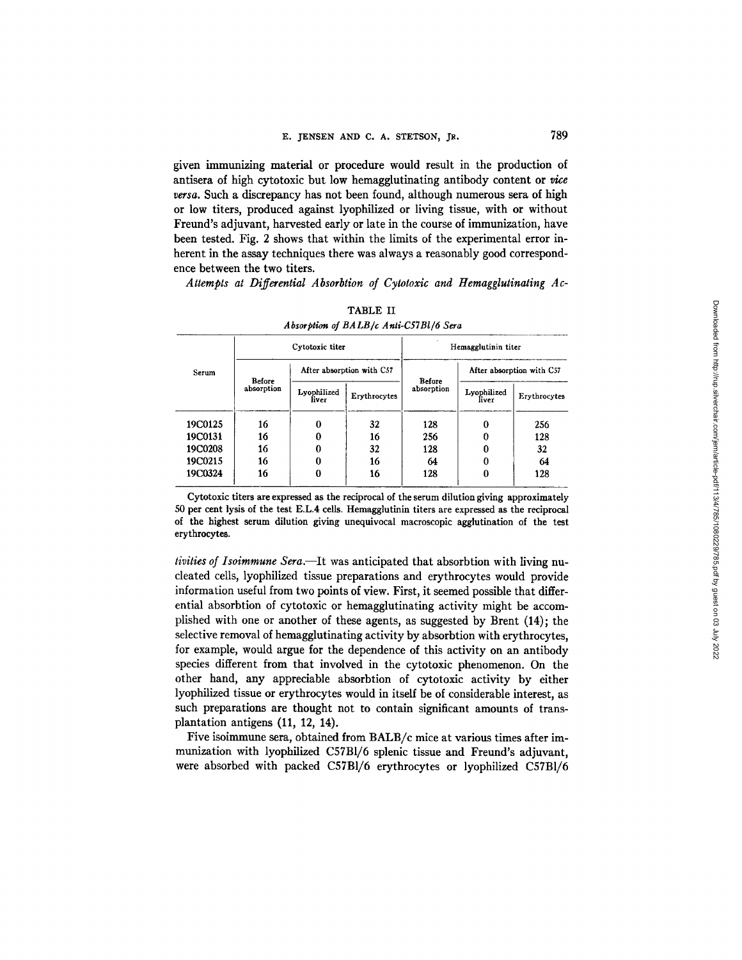given immunizing material or procedure would result in the production of antisera of high cytotoxic but low hemagglutinating antibody content or vice *versa.* Such a discrepancy has not been found, although numerous sera of high or low titers, produced against lyophilized or living tissue, with or without Freund's adjuvant, harvested early or late in the course of immunization, have been tested. Fig. 2 shows that within the limits of the experimental error inherent in the assay techniques there was always a reasonably good correspondence between the two titers.

*Attempts at Differential Absorbtion of Cytotoxic and Hemagglutinating Ac-*

|         |                      | Cytotoxic titer      |                           | Hemagglutinin titer  |                           |              |  |  |
|---------|----------------------|----------------------|---------------------------|----------------------|---------------------------|--------------|--|--|
| Serum   |                      |                      | After absorption with C57 |                      | After absorption with C57 |              |  |  |
|         | Before<br>absorption | Lyophilized<br>liver | Erythrocytes              | Before<br>absorption | Lyophilized<br>liver      | Erythrocytes |  |  |
| 19C0125 | 16                   | 0                    | 32                        | 128                  | 0                         | 256          |  |  |
| 19C0131 | 16                   |                      | 16                        | 256                  |                           | 128          |  |  |
| 19C0208 | 16                   |                      | 32                        | 128                  |                           | 32           |  |  |
| 19C0215 | 16                   | 0                    | 16                        | 64                   |                           | 64           |  |  |
| 19C0324 | 16                   | 0                    | 16                        | 128                  |                           | 128          |  |  |

| TABLE II                               |
|----------------------------------------|
| Absorption of BALB/c Anti-C57Bl/6 Sera |

Cytotoxic titers are expressed as the reciprocal of the serum dilution giving approximately 50 per cent lysis of the test E.L.4 cells. Hemagglutinin titers are expressed as the reciprocal of the highest serum dilution giving unequivocal macroscopic agglutination of the test erythrocytes.

*tivities of Isoimmune Sera.--It* was anticipated that absorbtion with living nucleated cells, lyophilized tissue preparations and erythrocytes would provide information useful from two points of view. First, it seemed possible that differential absorbtion of cytotoxic or hemagglutinating activity might be accomplished with one or another of these agents, as suggested by Brent (14); the selective removal of hemagglutinating activity by absorbtion with erythrocytes, for example, would argue for the dependence of this activity on an antibody species different from that involved in the cytotoxic phenomenon. On the other hand, any appreciable absorbtion of cytotoxic activity by either lyophilized tissue or erythrocytes would in itself be of considerable interest, as such preparations are thought not to contain significant amounts of transplantation antigens (11, 12, 14).

Five isoimmune sera, obtained from BALB/c mice at various times after immunization with lyophilized C57B1/6 splenic tissue and Freund's adjuvant, were absorbed with packed C57B1/6 erythrocytes or lyophilized C57B1/6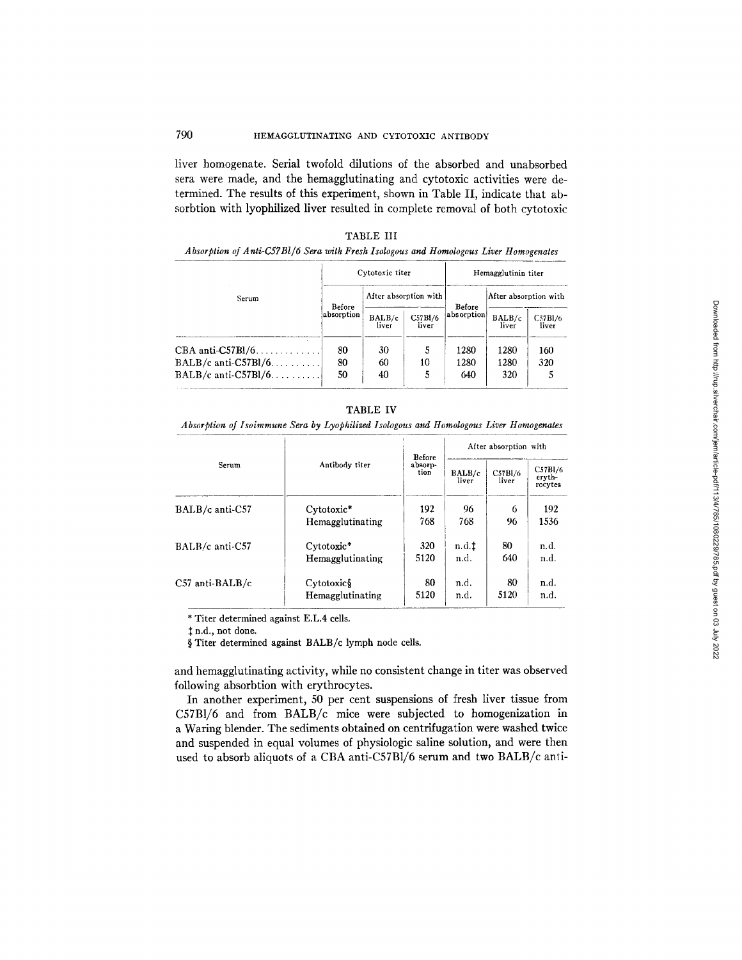liver homogenate. Serial twofold dilutions of the absorbed and unabsorbed sera were made, and the hemagglutinating and cytotoxic activities were determined. The results of this experiment, shown in Table II, indicate that absorbtion with lyophilized liver resulted in complete removal of both cytotoxic

| ART. |  |
|------|--|
|------|--|

| Absorption of Anti-C57Bl/6 Sera with Fresh Isologous and Homologous Liver Homogenates |  |  |
|---------------------------------------------------------------------------------------|--|--|
|                                                                                       |  |  |

|                          |                      | Cytotoxic titer                     |    | Hemagglutinin titer   |                       |                  |  |
|--------------------------|----------------------|-------------------------------------|----|-----------------------|-----------------------|------------------|--|
| Serum                    |                      | After absorption with               |    |                       | After absorption with |                  |  |
|                          | Before<br>absorption | C57B1/6<br>BALB/c<br>liver<br>liver |    | Before<br>absorption! | BALB/c<br>liver       | C57B1/6<br>liver |  |
| CBA anti- $C57B1/6$      | 80                   | 30                                  | 5  | 1280                  | 1280                  | 160              |  |
| $BALB/c$ anti- $C57B1/6$ | 80                   | 60                                  | 10 | 1280                  | 1280                  | 320              |  |
| $BALB/c$ anti- $C57B1/6$ | 50                   | 40                                  | 5  | 640                   | 320                   |                  |  |

| TABLE IV |  |  |
|----------|--|--|
|          |  |  |

Absorption of Isoimmune Sera by Lyophilized Isologous and Homologous Liver Homogenates

|                   |                  | Before          | After absorption with |                  |                              |  |
|-------------------|------------------|-----------------|-----------------------|------------------|------------------------------|--|
| Serum             | Antibody titer   | absorp-<br>tion | BALB/c<br>liver       | C57B1/6<br>liver | C57B1/6<br>eryth-<br>rocytes |  |
| BALB/c anti-C57   | Cytotoxic*       | 192             | 96                    | 6                | 192                          |  |
|                   | Hemagglutinating | 768             | 768                   | 96               | 1536                         |  |
| BALB/c anti-C57   | Cytotoxic*       | 320             | n.d.t                 | 80               | n.d.                         |  |
|                   | Hemagglutinating | 5120            | n.d.                  | 640              | n.d.                         |  |
| $C57$ anti-BALB/c | Cytotoxics       | 80              | n.d.                  | 80               | n.d.                         |  |
|                   | Hemagglutinating | 5120            | n.d.                  | 5120             | n.d.                         |  |

\* Titer determined against E.L.4 cells.

# n.d., not done.

§ Titer determined against BALB/c lymph node cells.

and hemagglutinating activity, while no consistent change in titer was observed following absorbtion with erythrocytes.

In another experiment, 50 per cent suspensions of fresh liver tissue from  $C57B1/6$  and from BALB/c mice were subjected to homogenization in a Waring blender. The sediments obtained on centrifugation were washed twice and suspended in equal volumes of physiologic saline solution, and were then used to absorb aliquots of a CBA anti-C57Bl/6 serum and two BALB/c anti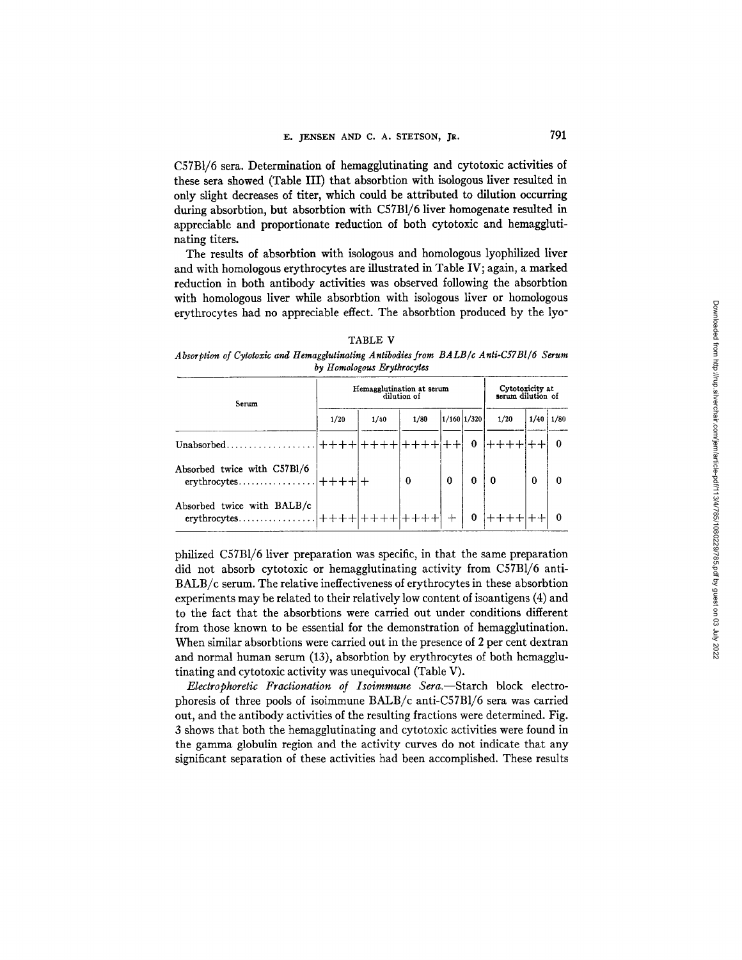C57B1/6 sera. Determination of hemagglutinating and cytotoxic activities of these sera showed (Table III) that absorbtion with isologous liver resulted in only slight decreases of titer, which could be attributed to dilution occurring during absorbtion, but absorbtion with C57B1/6 liver homogenate resulted in appreciable and proportionate reduction of both cytotoxic and hemagglutihating titers.

The results of absorbtion with isologous and homologous lyophilized liver and with homologous erythrocytes are illustrated in Table IV; again, a marked reduction in both antibody activities was observed following the absorbtion with homologous liver while absorbtion with isologous liver or homologous erythrocytes had no appreciable effect. The absorbtion produced by the lyo-

| Serum                                                             | Hemagglutination at serum<br>dilution of |      |          |             |          | Cytotoxicity at<br>serum dilution of |          |          |
|-------------------------------------------------------------------|------------------------------------------|------|----------|-------------|----------|--------------------------------------|----------|----------|
|                                                                   | 1/20                                     | 1/40 | 1/80     | 1/160 1/320 |          | 1/20                                 | 1/40     | 1/80     |
| Unabsorbed                                                        |                                          |      |          |             | $\bf{0}$ |                                      |          | $\Omega$ |
| Absorbed twice with C57Bl/6                                       |                                          |      | $\bf{0}$ | $\Omega$    | 0        | 0                                    | $\theta$ | $\Omega$ |
| Absorbed twice with BALB/c<br>$crvthrocytes \ldots \ldots \ldots$ |                                          |      |          | ┿           | 0        |                                      |          |          |

TABLE V

Absorption of Cytotoxic and Hemagglutinating Antibodies from BALB/c Anti-C57 Bl/6 Serum *by Homologous Erythroeytes* 

philized C57B1/6 liver preparation was specific, in that the same preparation did not absorb cytotoxic or hemagglutinating activity from C57B1/6 anti-BALB/c serum. The relative ineffectiveness of erythrocytes in these absorbtion experiments may be related to their relatively low content of isoantigens (4) and to the fact that the absorbtions were carried out under conditions different from those known to be essential for the demonstration of hemagglutination. When similar absorbtions were carried out in the presence of 2 per cent dextran and normal human serum (13), absorbtion by erythrocytes of both hemagglutinating and cytotoxic activity was unequivocal (Table V).

*Electrophoretic Fractionation o] Isoimmune Sera.--Starch* block electrophoresis of three pools of isoimmune BALB/c anti-C57B1/6 sera was carried out, and the antibody activities of the resulting fractions were determined. Fig. 3 shows that both the hemagglutinating and cytotoxic activities were found in the gamma globulin region and the activity curves do not indicate that any significant separation of these activities had been accomplished. These results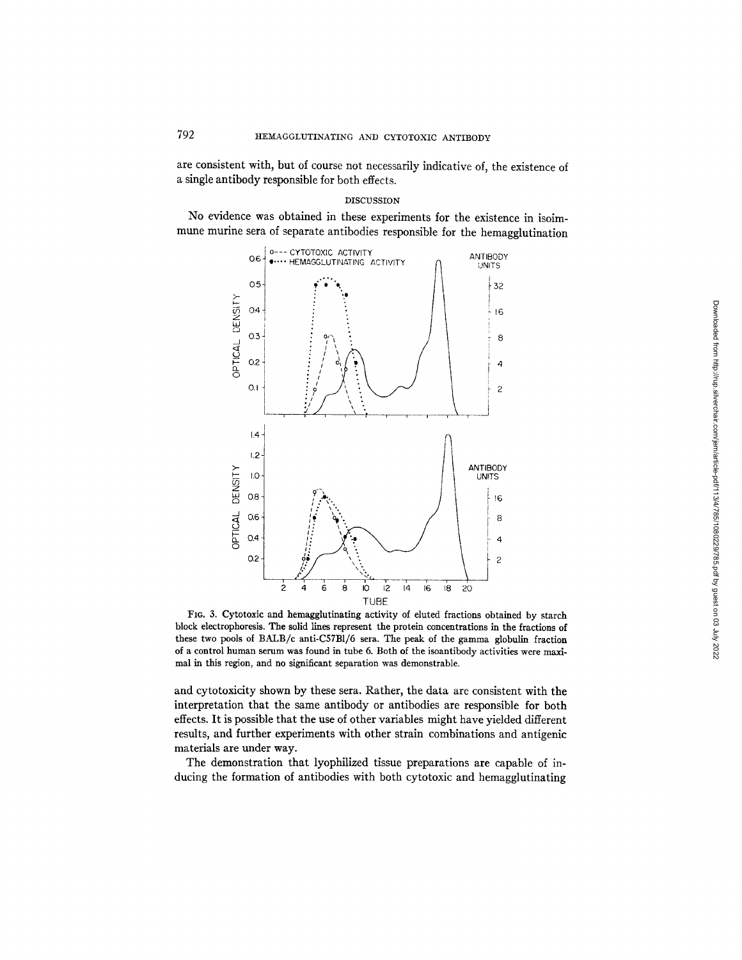**are consistent with, but of course not necessarily indicative of, the existence of a single antibody responsible for both effects.** 

# DISCUSSION

**No evidence was obtained in these experiments for the existence in isoimmune murine sera of separate antibodies responsible for the hemagglutination** 



**Fro. 3. Cytotoxic and hemagglutinating activity of eluted fractions obtained by starch block electrophoresis. The solid lines represent the protein concentrations in the fractions of these two pools of BALB/c anti-CS7B1/6 sera. The peak of the gamma globulin fraction of a control human serum was found in tube 6. Both of the isoantibody activities were maximal in this region, and no significant separation was demonstrable.** 

**and cytotoxicity shown by these sera. Rather, the data are consistent with the interpretation that the same antibody or antibodies are responsible for both effects. It is possible that the use of other variables might have yielded different results, and further experiments with other strain combinations and antigenic materials are under way.** 

**The demonstration that lyophilized tissue preparations are capable of inducing the formation of antibodies with both cytotoxic and hemaggtutinating**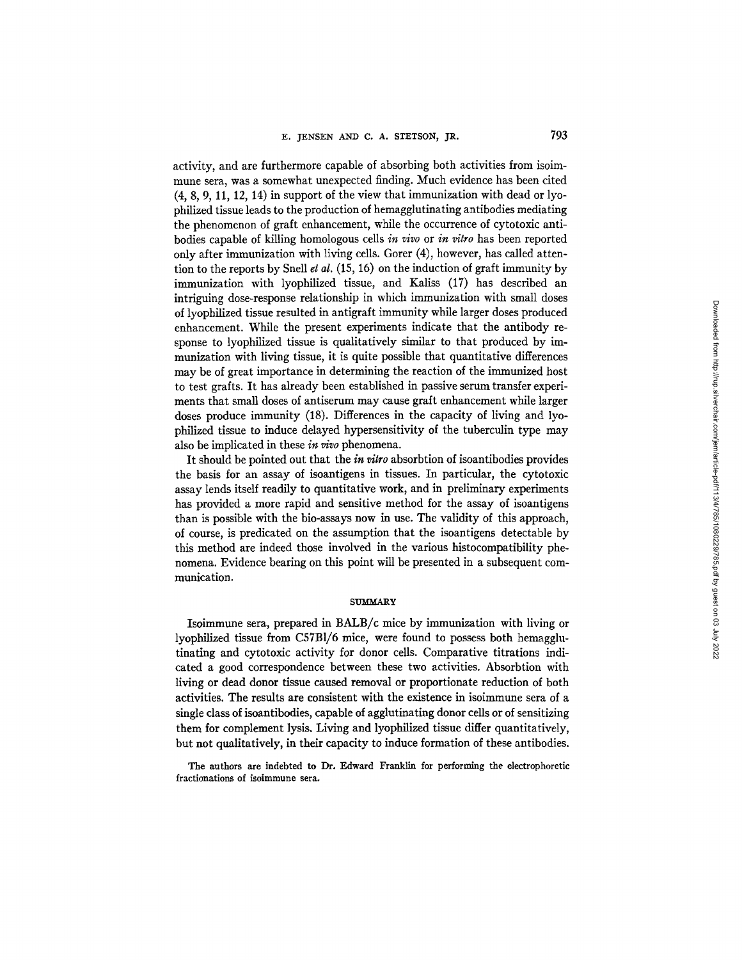activity, and are furthermore capable of absorbing both activities from isoimmune sera, was a somewhat unexpected finding. Much evidence has been cited (4, 8, 9, 11, 12, 14) in support of the view that immunization with dead or lyophilized tissue leads to the production of hemagglutinating antibodies mediating the phenomenon of graft enhancement, while the occurrence of cytotoxic antibodies capable of killing homologous cells *in vivo* or *in vitro* has been reported only after immunization with living cells. Gorer (4), however, has called attention to the reports by Snell *et al.* (15, 16) on the induction of graft immunity by immunization with lyophilized tissue, and Kaliss (17) has described an intriguing dose-response relationship in which immunization with small doses of lyophilized tissue resulted in antigraft immunity while larger doses produced enhancement. While the present experiments indicate that the antibody response to lyophilized tissue is qualitatively similar to that produced by immunization with living tissue, it is quite possible that quantitative differences may be of great importance in determining the reaction of the immunized host to test grafts. It has already been established in passive serum transfer experiments that small doses of antiserum may cause graft enhancement while larger doses produce immunity (18). Differences in the capacity of living and lyophilized tissue to induce delayed hypersensitivity of the tuberculin type may also be implicated in these *in vivo* phenomena.

It should be pointed out that the *in vitro* absorbtion of isoantibodies provides the basis for an assay of isoantigens in tissues. In particular, the cytotoxic assay lends itself readily to quantitative work, and in preliminary experiments has provided a more rapid and sensitive method for the assay of isoantigens than is possible with the bio-assays now in use. The validity of this approach, of course, is predicated on the assumption that the isoantigens detectable by this method are indeed those involved in the various histocompatibility phenomena. Evidence bearing on this point will be presented in a subsequent communication.

#### **SUMMARY**

Isoimmune sera, prepared in BALB/c mice by immunization with living or lyophilized tissue from C57B1/6 mice, were found to possess both hemagglutinating and cytotoxic activity for donor cells. Comparative titrations indicated a good correspondence between these two activities. Absorbtion with living or dead donor tissue caused removal or proportionate reduction of both activities. The results are consistent with the existence in isoimmune sera of a single class of isoantibodies, capable of agglutinating donor cells or of sensitizing them for complement lysis. Living and lyophilized tissue differ quantitatively, but not qualitatively, in their capacity to induce formation of these antibodies.

The authors are indebted to Dr. Edward Franklin for performing the electrophoretic fractionations of isoimmune sera.